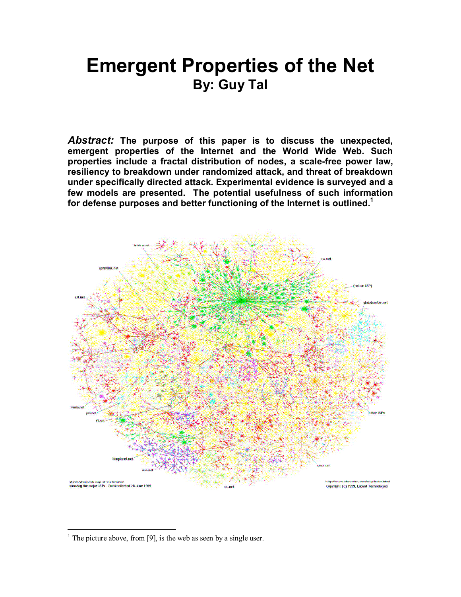# **Emergent Properties of the Net By: Guy Tal**

*Abstract:* **The purpose of this paper is to discuss the unexpected, emergent properties of the Internet and the World Wide Web. Such properties include a fractal distribution of nodes, a scale-free power law, resiliency to breakdown under randomized attack, and threat of breakdown under specifically directed attack. Experimental evidence is surveyed and a few models are presented. The potential usefulness of such information for defense purposes and better functioning of the Internet is outlined.1**



 $\overline{a}$ 

<sup>&</sup>lt;sup>1</sup> The picture above, from [9], is the web as seen by a single user.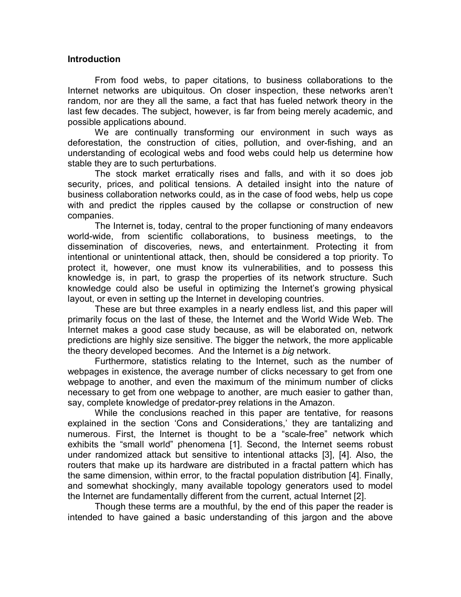#### **Introduction**

 From food webs, to paper citations, to business collaborations to the Internet networks are ubiquitous. On closer inspection, these networks arenít random, nor are they all the same, a fact that has fueled network theory in the last few decades. The subject, however, is far from being merely academic, and possible applications abound.

We are continually transforming our environment in such ways as deforestation, the construction of cities, pollution, and over-fishing, and an understanding of ecological webs and food webs could help us determine how stable they are to such perturbations.

The stock market erratically rises and falls, and with it so does job security, prices, and political tensions. A detailed insight into the nature of business collaboration networks could, as in the case of food webs, help us cope with and predict the ripples caused by the collapse or construction of new companies.

The Internet is, today, central to the proper functioning of many endeavors world-wide, from scientific collaborations, to business meetings, to the dissemination of discoveries, news, and entertainment. Protecting it from intentional or unintentional attack, then, should be considered a top priority. To protect it, however, one must know its vulnerabilities, and to possess this knowledge is, in part, to grasp the properties of its network structure. Such knowledge could also be useful in optimizing the Internetís growing physical layout, or even in setting up the Internet in developing countries.

 These are but three examples in a nearly endless list, and this paper will primarily focus on the last of these, the Internet and the World Wide Web. The Internet makes a good case study because, as will be elaborated on, network predictions are highly size sensitive. The bigger the network, the more applicable the theory developed becomes. And the Internet is a *big* network.

Furthermore, statistics relating to the Internet, such as the number of webpages in existence, the average number of clicks necessary to get from one webpage to another, and even the maximum of the minimum number of clicks necessary to get from one webpage to another, are much easier to gather than, say, complete knowledge of predator-prey relations in the Amazon.

While the conclusions reached in this paper are tentative, for reasons explained in the section 'Cons and Considerations,' they are tantalizing and numerous. First, the Internet is thought to be a "scale-free" network which exhibits the "small world" phenomena [1]. Second, the Internet seems robust under randomized attack but sensitive to intentional attacks [3], [4]. Also, the routers that make up its hardware are distributed in a fractal pattern which has the same dimension, within error, to the fractal population distribution [4]. Finally, and somewhat shockingly, many available topology generators used to model the Internet are fundamentally different from the current, actual Internet [2].

 Though these terms are a mouthful, by the end of this paper the reader is intended to have gained a basic understanding of this jargon and the above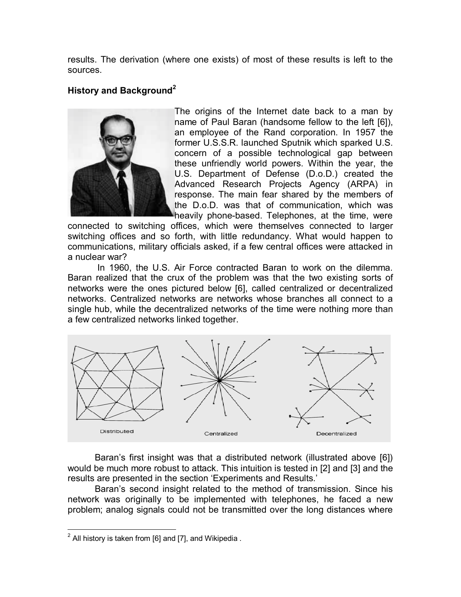results. The derivation (where one exists) of most of these results is left to the sources.

## **History and Background<sup>2</sup>**



The origins of the Internet date back to a man by name of Paul Baran (handsome fellow to the left [6]), an employee of the Rand corporation. In 1957 the former U.S.S.R. launched Sputnik which sparked U.S. concern of a possible technological gap between these unfriendly world powers. Within the year, the U.S. Department of Defense (D.o.D.) created the Advanced Research Projects Agency (ARPA) in response. The main fear shared by the members of the D.o.D. was that of communication, which was heavily phone-based. Telephones, at the time, were

connected to switching offices, which were themselves connected to larger switching offices and so forth, with little redundancy. What would happen to communications, military officials asked, if a few central offices were attacked in a nuclear war?

 In 1960, the U.S. Air Force contracted Baran to work on the dilemma. Baran realized that the crux of the problem was that the two existing sorts of networks were the ones pictured below [6], called centralized or decentralized networks. Centralized networks are networks whose branches all connect to a single hub, while the decentralized networks of the time were nothing more than a few centralized networks linked together.



Baranís first insight was that a distributed network (illustrated above [6]) would be much more robust to attack. This intuition is tested in [2] and [3] and the results are presented in the section 'Experiments and Results.'

Baran's second insight related to the method of transmission. Since his network was originally to be implemented with telephones, he faced a new problem; analog signals could not be transmitted over the long distances where

<sup>1</sup>  $2$  All history is taken from [6] and [7], and Wikipedia.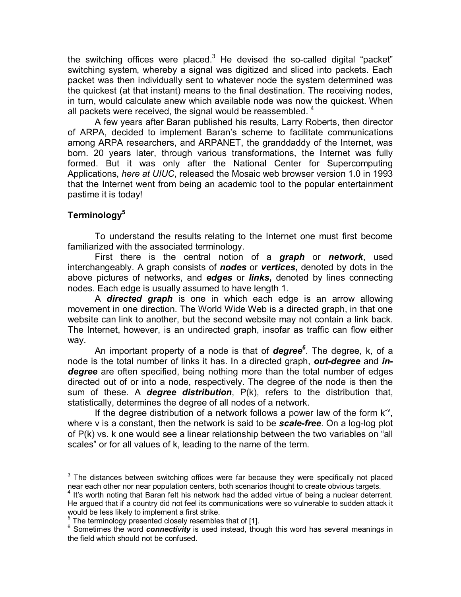the switching offices were placed.<sup>3</sup> He devised the so-called digital "packet" switching system, whereby a signal was digitized and sliced into packets. Each packet was then individually sent to whatever node the system determined was the quickest (at that instant) means to the final destination. The receiving nodes, in turn, would calculate anew which available node was now the quickest. When all packets were received, the signal would be reassembled.  $4$ 

A few years after Baran published his results, Larry Roberts, then director of ARPA, decided to implement Baranís scheme to facilitate communications among ARPA researchers, and ARPANET, the granddaddy of the Internet, was born. 20 years later, through various transformations, the Internet was fully formed. But it was only after the National Center for Supercomputing Applications, *here at UIUC*, released the Mosaic web browser version 1.0 in 1993 that the Internet went from being an academic tool to the popular entertainment pastime it is today!

## **Terminology5**

 $\overline{a}$ 

To understand the results relating to the Internet one must first become familiarized with the associated terminology.

 First there is the central notion of a *graph* or *network*, used interchangeably. A graph consists of *nodes* or *vertices***,** denoted by dots in the above pictures of networks, and *edges* or *links***,** denoted by lines connecting nodes. Each edge is usually assumed to have length 1.

 A *directed graph* is one in which each edge is an arrow allowing movement in one direction. The World Wide Web is a directed graph, in that one website can link to another, but the second website may not contain a link back. The Internet, however, is an undirected graph, insofar as traffic can flow either way.

An important property of a node is that of **degree**<sup>6</sup>. The degree, k, of a node is the total number of links it has. In a directed graph, *out-degree* and *indegree* are often specified, being nothing more than the total number of edges directed out of or into a node, respectively. The degree of the node is then the sum of these. A *degree distribution*, P(k), refers to the distribution that, statistically, determines the degree of all nodes of a network.

If the degree distribution of a network follows a power law of the form  $K^V$ , where v is a constant, then the network is said to be *scale-free*. On a log-log plot of  $P(k)$  vs. k one would see a linear relationship between the two variables on "all scales" or for all values of k, leading to the name of the term.

 $3$  The distances between switching offices were far because they were specifically not placed near each other nor near population centers, both scenarios thought to create obvious targets.

<sup>&</sup>lt;sup>4</sup> It's worth noting that Baran felt his network had the added virtue of being a nuclear deterrent. He argued that if a country did not feel its communications were so vulnerable to sudden attack it would be less likely to implement a first strike.

<sup>5</sup> The terminology presented closely resembles that of [1].

<sup>6</sup> Sometimes the word *connectivity* is used instead, though this word has several meanings in the field which should not be confused.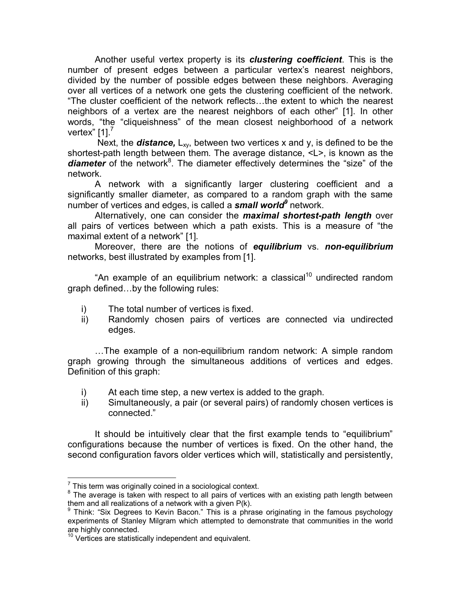Another useful vertex property is its *clustering coefficient*. This is the number of present edges between a particular vertex's nearest neighbors, divided by the number of possible edges between these neighbors. Averaging over all vertices of a network one gets the clustering coefficient of the network. "The cluster coefficient of the network reflects...the extent to which the nearest neighbors of a vertex are the nearest neighbors of each otherî [1]. In other words, "the "cliqueishness" of the mean closest neighborhood of a network vertex<sup>"</sup> [1].<sup>7</sup>

Next, the **distance,**  $L_{xy}$ , between two vertices x and y, is defined to be the shortest-path length between them. The average distance, <L>, is known as the diameter of the network<sup>8</sup>. The diameter effectively determines the "size" of the network.

 A network with a significantly larger clustering coefficient and a significantly smaller diameter, as compared to a random graph with the same number of vertices and edges, is called a *small world9* network.

Alternatively, one can consider the *maximal shortest-path length* over all pairs of vertices between which a path exists. This is a measure of "the maximal extent of a network" [1].

Moreover, there are the notions of *equilibrium* vs. *non-equilibrium* networks, best illustrated by examples from [1].

"An example of an equilibrium network: a classical<sup>10</sup> undirected random graph defined...by the following rules:

- i) The total number of vertices is fixed.
- ii) Randomly chosen pairs of vertices are connected via undirected edges.

...The example of a non-equilibrium random network: A simple random graph growing through the simultaneous additions of vertices and edges. Definition of this graph:

- i) At each time step, a new vertex is added to the graph.
- ii) Simultaneously, a pair (or several pairs) of randomly chosen vertices is connected."

It should be intuitively clear that the first example tends to "equilibrium" configurations because the number of vertices is fixed. On the other hand, the second configuration favors older vertices which will, statistically and persistently,

<sup>1</sup>  $\frac{7}{1}$  This term was originally coined in a sociological context.

 $8$  The average is taken with respect to all pairs of vertices with an existing path length between them and all realizations of a network with a given P(k).

<sup>&</sup>lt;sup>9</sup> Think: "Six Degrees to Kevin Bacon." This is a phrase originating in the famous psychology experiments of Stanley Milgram which attempted to demonstrate that communities in the world are highly connected.

are ingity connection.<br><sup>10</sup> Vertices are statistically independent and equivalent.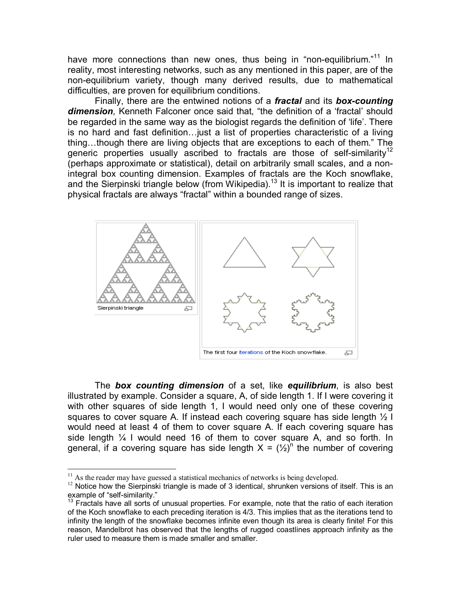have more connections than new ones, thus being in "non-equilibrium. $11$  In reality, most interesting networks, such as any mentioned in this paper, are of the non-equilibrium variety, though many derived results, due to mathematical difficulties, are proven for equilibrium conditions.

Finally, there are the entwined notions of a *fractal* and its *box-counting*  **dimension**, Kenneth Falconer once said that, "the definition of a 'fractal' should be regarded in the same way as the biologist regards the definition of 'life'. There is no hard and fast definition... just a list of properties characteristic of a living thing...though there are living objects that are exceptions to each of them." The generic properties usually ascribed to fractals are those of self-similarity<sup>12</sup> (perhaps approximate or statistical), detail on arbitrarily small scales, and a nonintegral box counting dimension. Examples of fractals are the Koch snowflake, and the Sierpinski triangle below (from Wikipedia).<sup>13</sup> It is important to realize that physical fractals are always "fractal" within a bounded range of sizes.



The *box counting dimension* of a set, like *equilibrium*, is also best illustrated by example. Consider a square, A, of side length 1. If I were covering it with other squares of side length 1, I would need only one of these covering squares to cover square A. If instead each covering square has side length ½ I would need at least 4 of them to cover square A. If each covering square has side length  $\frac{1}{4}$  I would need 16 of them to cover square A, and so forth. In general, if a covering square has side length  $X = (1/2)^n$  the number of covering

 $\overline{a}$ 

 $11$  As the reader may have guessed a statistical mechanics of networks is being developed.

 $12$  Notice how the Sierpinski triangle is made of 3 identical, shrunken versions of itself. This is an example of "self-similarity."

 $13$  Fractals have all sorts of unusual properties. For example, note that the ratio of each iteration of the Koch snowflake to each preceding iteration is 4/3. This implies that as the iterations tend to infinity the length of the snowflake becomes infinite even though its area is clearly finite! For this reason, Mandelbrot has observed that the lengths of rugged coastlines approach infinity as the ruler used to measure them is made smaller and smaller.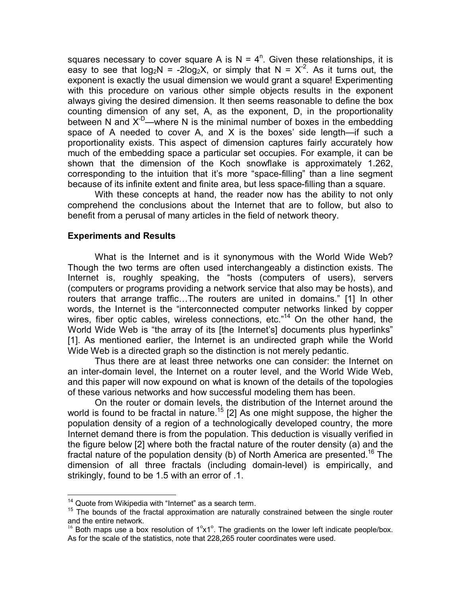squares necessary to cover square A is  $N = 4^n$ . Given these relationships, it is easy to see that  $log_2N = -2log_2X$ , or simply that  $N = X^2$ . As it turns out, the exponent is exactly the usual dimension we would grant a square! Experimenting with this procedure on various other simple objects results in the exponent always giving the desired dimension. It then seems reasonable to define the box counting dimension of any set, A, as the exponent, D, in the proportionality between N and  $X^{-D}$ —where N is the minimal number of boxes in the embedding space of A needed to cover A, and X is the boxes' side length—if such a proportionality exists. This aspect of dimension captures fairly accurately how much of the embedding space a particular set occupies. For example, it can be shown that the dimension of the Koch snowflake is approximately 1.262, corresponding to the intuition that it's more "space-filling" than a line segment because of its infinite extent and finite area, but less space-filling than a square.

With these concepts at hand, the reader now has the ability to not only comprehend the conclusions about the Internet that are to follow, but also to benefit from a perusal of many articles in the field of network theory.

## **Experiments and Results**

What is the Internet and is it synonymous with the World Wide Web? Though the two terms are often used interchangeably a distinction exists. The Internet is, roughly speaking, the "hosts (computers of users), servers (computers or programs providing a network service that also may be hosts), and routers that arrange traffic...The routers are united in domains." [1] In other words, the Internet is the "interconnected computer networks linked by copper wires, fiber optic cables, wireless connections, etc.<sup> $n14$ </sup> On the other hand, the World Wide Web is "the array of its [the Internet's] documents plus hyperlinks" [1]. As mentioned earlier, the Internet is an undirected graph while the World Wide Web is a directed graph so the distinction is not merely pedantic.

 Thus there are at least three networks one can consider: the Internet on an inter-domain level, the Internet on a router level, and the World Wide Web, and this paper will now expound on what is known of the details of the topologies of these various networks and how successful modeling them has been.

On the router or domain levels, the distribution of the Internet around the world is found to be fractal in nature.<sup>15</sup> [2] As one might suppose, the higher the population density of a region of a technologically developed country, the more Internet demand there is from the population. This deduction is visually verified in the figure below [2] where both the fractal nature of the router density (a) and the fractal nature of the population density (b) of North America are presented.<sup>16</sup> The dimension of all three fractals (including domain-level) is empirically, and strikingly, found to be 1.5 with an error of .1.

1

<sup>&</sup>lt;sup>14</sup> Quote from Wikipedia with "Internet" as a search term.<br><sup>15</sup> The bounds of the fractal approximation are naturally constrained between the single router and the entire network.

and the entire network.<br><sup>16</sup> Both maps use a box resolution of 1<sup>o</sup>x1<sup>o</sup>. The gradients on the lower left indicate people/box. As for the scale of the statistics, note that 228,265 router coordinates were used.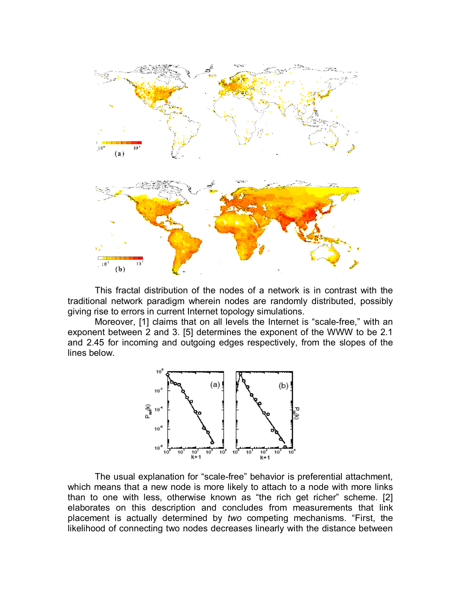

 This fractal distribution of the nodes of a network is in contrast with the traditional network paradigm wherein nodes are randomly distributed, possibly giving rise to errors in current Internet topology simulations.

Moreover, [1] claims that on all levels the Internet is "scale-free," with an exponent between 2 and 3. [5] determines the exponent of the WWW to be 2.1 and 2.45 for incoming and outgoing edges respectively, from the slopes of the lines below.



The usual explanation for "scale-free" behavior is preferential attachment, which means that a new node is more likely to attach to a node with more links than to one with less, otherwise known as "the rich get richer" scheme. [2] elaborates on this description and concludes from measurements that link placement is actually determined by *two* competing mechanisms. "First, the likelihood of connecting two nodes decreases linearly with the distance between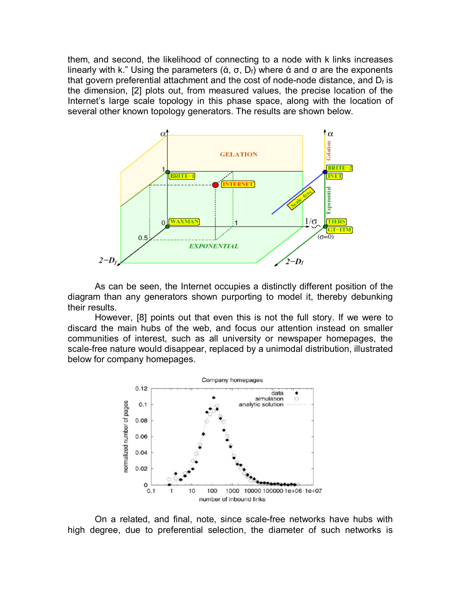them, and second, the likelihood of connecting to a node with k links increases linearly with k." Using the parameters (ά, σ, D<sub>f</sub>) where ά and σ are the exponents that govern preferential attachment and the cost of node-node distance, and  $D_f$  is the dimension, [2] plots out, from measured values, the precise location of the Internet's large scale topology in this phase space, along with the location of several other known topology generators. The results are shown below.



As can be seen, the Internet occupies a distinctly different position of the diagram than any generators shown purporting to model it, thereby debunking their results.

However, [8] points out that even this is not the full story. If we were to discard the main hubs of the web, and focus our attention instead on smaller communities of interest, such as all university or newspaper homepages, the scale-free nature would disappear, replaced by a unimodal distribution, illustrated below for company homepages.



 On a related, and final, note, since scale-free networks have hubs with high degree, due to preferential selection, the diameter of such networks is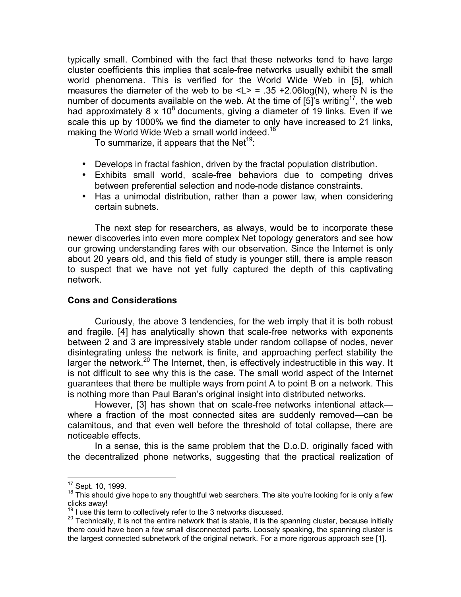typically small. Combined with the fact that these networks tend to have large cluster coefficients this implies that scale-free networks usually exhibit the small world phenomena. This is verified for the World Wide Web in [5], which measures the diameter of the web to be  $\langle L \rangle$  = .35 +2.06log(N), where N is the number of documents available on the web. At the time of  $[5]$ 's writing<sup>17</sup>, the web had approximately 8 x  $10^8$  documents, giving a diameter of 19 links. Even if we scale this up by 1000% we find the diameter to only have increased to 21 links, making the World Wide Web a small world indeed.<sup>18</sup>

To summarize, it appears that the Net<sup>19</sup>:

- Develops in fractal fashion, driven by the fractal population distribution.
- Exhibits small world, scale-free behaviors due to competing drives between preferential selection and node-node distance constraints.
- Has a unimodal distribution, rather than a power law, when considering certain subnets.

The next step for researchers, as always, would be to incorporate these newer discoveries into even more complex Net topology generators and see how our growing understanding fares with our observation. Since the Internet is only about 20 years old, and this field of study is younger still, there is ample reason to suspect that we have not yet fully captured the depth of this captivating network.

#### **Cons and Considerations**

Curiously, the above 3 tendencies, for the web imply that it is both robust and fragile. [4] has analytically shown that scale-free networks with exponents between 2 and 3 are impressively stable under random collapse of nodes, never disintegrating unless the network is finite, and approaching perfect stability the larger the network.<sup>20</sup> The Internet, then, is effectively indestructible in this way. It is not difficult to see why this is the case. The small world aspect of the Internet guarantees that there be multiple ways from point A to point B on a network. This is nothing more than Paul Baran's original insight into distributed networks.

However, [3] has shown that on scale-free networks intentional attack where a fraction of the most connected sites are suddenly removed—can be calamitous, and that even well before the threshold of total collapse, there are noticeable effects.

 In a sense, this is the same problem that the D.o.D. originally faced with the decentralized phone networks, suggesting that the practical realization of

<sup>&</sup>lt;sup>17</sup> Sept. 10, 1999.

 $18$  This should give hope to any thoughtful web searchers. The site you're looking for is only a few clicks away!<br> $19$  I use this term to collectively refer to the 3 networks discussed.

<sup>&</sup>lt;sup>20</sup> Technically, it is not the entire network that is stable, it is the spanning cluster, because initially there could have been a few small disconnected parts. Loosely speaking, the spanning cluster is the largest connected subnetwork of the original network. For a more rigorous approach see [1].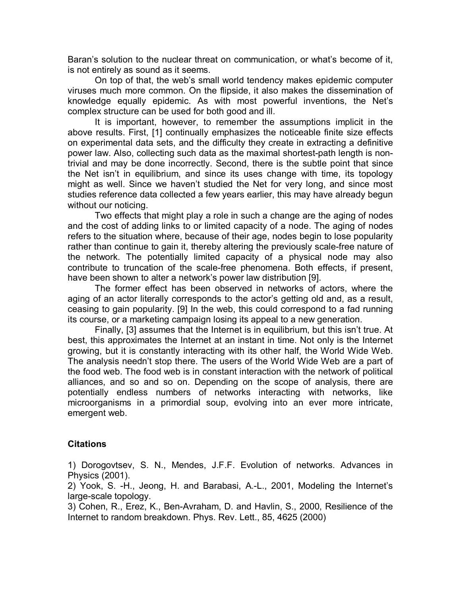Baran's solution to the nuclear threat on communication, or what's become of it, is not entirely as sound as it seems.

On top of that, the web's small world tendency makes epidemic computer viruses much more common. On the flipside, it also makes the dissemination of knowledge equally epidemic. As with most powerful inventions, the Netís complex structure can be used for both good and ill.

 It is important, however, to remember the assumptions implicit in the above results. First, [1] continually emphasizes the noticeable finite size effects on experimental data sets, and the difficulty they create in extracting a definitive power law. Also, collecting such data as the maximal shortest-path length is nontrivial and may be done incorrectly. Second, there is the subtle point that since the Net isn't in equilibrium, and since its uses change with time, its topology might as well. Since we havenít studied the Net for very long, and since most studies reference data collected a few years earlier, this may have already begun without our noticing.

 Two effects that might play a role in such a change are the aging of nodes and the cost of adding links to or limited capacity of a node. The aging of nodes refers to the situation where, because of their age, nodes begin to lose popularity rather than continue to gain it, thereby altering the previously scale-free nature of the network. The potentially limited capacity of a physical node may also contribute to truncation of the scale-free phenomena. Both effects, if present, have been shown to alter a network's power law distribution [9].

The former effect has been observed in networks of actors, where the aging of an actor literally corresponds to the actor's getting old and, as a result, ceasing to gain popularity. [9] In the web, this could correspond to a fad running its course, or a marketing campaign losing its appeal to a new generation.

Finally, [3] assumes that the Internet is in equilibrium, but this isn't true. At best, this approximates the Internet at an instant in time. Not only is the Internet growing, but it is constantly interacting with its other half, the World Wide Web. The analysis needn't stop there. The users of the World Wide Web are a part of the food web. The food web is in constant interaction with the network of political alliances, and so and so on. Depending on the scope of analysis, there are potentially endless numbers of networks interacting with networks, like microorganisms in a primordial soup, evolving into an ever more intricate, emergent web.

## **Citations**

1) Dorogovtsev, S. N., Mendes, J.F.F. Evolution of networks. Advances in Physics (2001).

2) Yook, S. -H., Jeong, H. and Barabasi, A.-L., 2001, Modeling the Internetís large-scale topology.

3) Cohen, R., Erez, K., Ben-Avraham, D. and Havlin, S., 2000, Resilience of the Internet to random breakdown. Phys. Rev. Lett., 85, 4625 (2000)